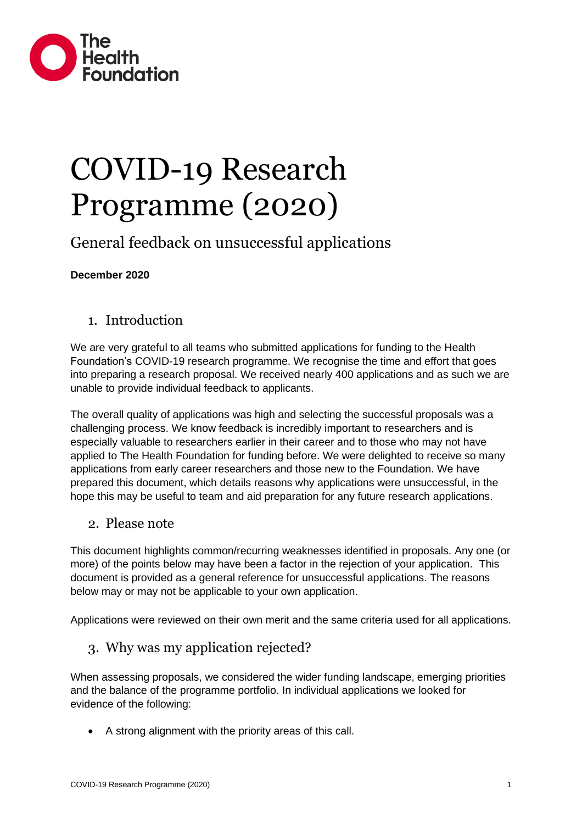

# COVID-19 Research Programme (2020)

General feedback on unsuccessful applications

#### **December 2020**

### 1. Introduction

We are very grateful to all teams who submitted applications for funding to the Health Foundation's COVID-19 research programme. We recognise the time and effort that goes into preparing a research proposal. We received nearly 400 applications and as such we are unable to provide individual feedback to applicants.

The overall quality of applications was high and selecting the successful proposals was a challenging process. We know feedback is incredibly important to researchers and is especially valuable to researchers earlier in their career and to those who may not have applied to The Health Foundation for funding before. We were delighted to receive so many applications from early career researchers and those new to the Foundation. We have prepared this document, which details reasons why applications were unsuccessful, in the hope this may be useful to team and aid preparation for any future research applications.

#### 2. Please note

This document highlights common/recurring weaknesses identified in proposals. Any one (or more) of the points below may have been a factor in the rejection of your application. This document is provided as a general reference for unsuccessful applications. The reasons below may or may not be applicable to your own application.

Applications were reviewed on their own merit and the same criteria used for all applications.

#### 3. Why was my application rejected?

When assessing proposals, we considered the wider funding landscape, emerging priorities and the balance of the programme portfolio. In individual applications we looked for evidence of the following:

• A strong alignment with the priority areas of this call.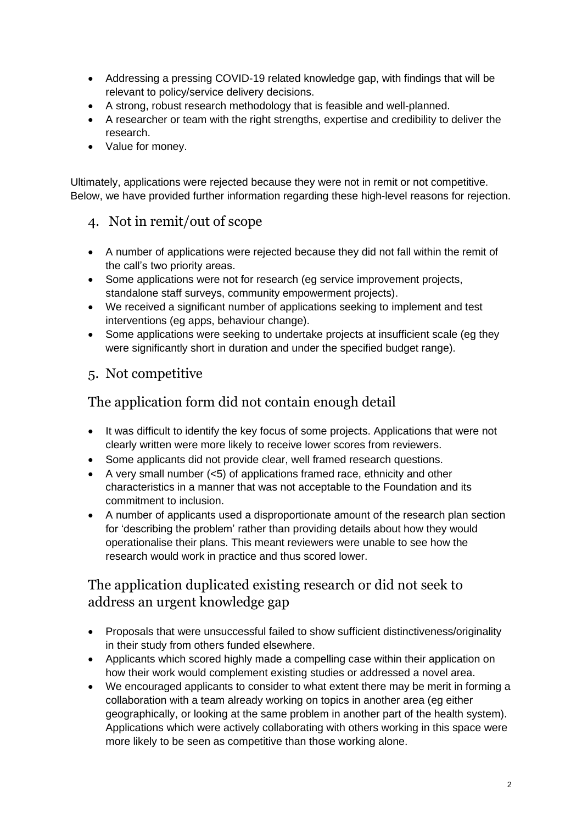- Addressing a pressing COVID-19 related knowledge gap, with findings that will be relevant to policy/service delivery decisions.
- A strong, robust research methodology that is feasible and well-planned.
- A researcher or team with the right strengths, expertise and credibility to deliver the research.
- Value for money.

Ultimately, applications were rejected because they were not in remit or not competitive. Below, we have provided further information regarding these high-level reasons for rejection.

### 4. Not in remit/out of scope

- A number of applications were rejected because they did not fall within the remit of the call's two priority areas.
- Some applications were not for research (eg service improvement projects, standalone staff surveys, community empowerment projects).
- We received a significant number of applications seeking to implement and test interventions (eg apps, behaviour change).
- Some applications were seeking to undertake projects at insufficient scale (eg they were significantly short in duration and under the specified budget range).

### 5. Not competitive

# The application form did not contain enough detail

- It was difficult to identify the key focus of some projects. Applications that were not clearly written were more likely to receive lower scores from reviewers.
- Some applicants did not provide clear, well framed research questions.
- A very small number (<5) of applications framed race, ethnicity and other characteristics in a manner that was not acceptable to the Foundation and its commitment to inclusion.
- A number of applicants used a disproportionate amount of the research plan section for 'describing the problem' rather than providing details about how they would operationalise their plans. This meant reviewers were unable to see how the research would work in practice and thus scored lower.

# The application duplicated existing research or did not seek to address an urgent knowledge gap

- Proposals that were unsuccessful failed to show sufficient distinctiveness/originality in their study from others funded elsewhere.
- Applicants which scored highly made a compelling case within their application on how their work would complement existing studies or addressed a novel area.
- We encouraged applicants to consider to what extent there may be merit in forming a collaboration with a team already working on topics in another area (eg either geographically, or looking at the same problem in another part of the health system). Applications which were actively collaborating with others working in this space were more likely to be seen as competitive than those working alone.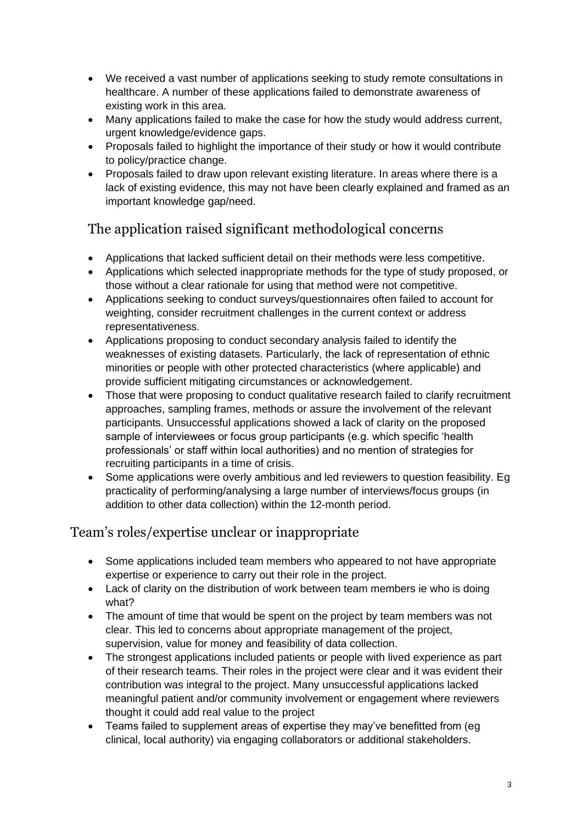- We received a vast number of applications seeking to study remote consultations in healthcare. A number of these applications failed to demonstrate awareness of existing work in this area.
- Many applications failed to make the case for how the study would address current, urgent knowledge/evidence gaps.
- Proposals failed to highlight the importance of their study or how it would contribute to policy/practice change.
- Proposals failed to draw upon relevant existing literature. In areas where there is a lack of existing evidence, this may not have been clearly explained and framed as an important knowledge gap/need.

# The application raised significant methodological concerns

- Applications that lacked sufficient detail on their methods were less competitive.
- Applications which selected inappropriate methods for the type of study proposed, or those without a clear rationale for using that method were not competitive.
- Applications seeking to conduct surveys/questionnaires often failed to account for weighting, consider recruitment challenges in the current context or address representativeness.
- Applications proposing to conduct secondary analysis failed to identify the weaknesses of existing datasets. Particularly, the lack of representation of ethnic minorities or people with other protected characteristics (where applicable) and provide sufficient mitigating circumstances or acknowledgement.
- Those that were proposing to conduct qualitative research failed to clarify recruitment approaches, sampling frames, methods or assure the involvement of the relevant participants. Unsuccessful applications showed a lack of clarity on the proposed sample of interviewees or focus group participants (e.g. which specific 'health professionals' or staff within local authorities) and no mention of strategies for recruiting participants in a time of crisis.
- Some applications were overly ambitious and led reviewers to question feasibility. Eq practicality of performing/analysing a large number of interviews/focus groups (in addition to other data collection) within the 12-month period.

## Team's roles/expertise unclear or inappropriate

- Some applications included team members who appeared to not have appropriate expertise or experience to carry out their role in the project.
- Lack of clarity on the distribution of work between team members ie who is doing what?
- The amount of time that would be spent on the project by team members was not clear. This led to concerns about appropriate management of the project, supervision, value for money and feasibility of data collection.
- The strongest applications included patients or people with lived experience as part of their research teams. Their roles in the project were clear and it was evident their contribution was integral to the project. Many unsuccessful applications lacked meaningful patient and/or community involvement or engagement where reviewers thought it could add real value to the project
- Teams failed to supplement areas of expertise they may've benefitted from (eg clinical, local authority) via engaging collaborators or additional stakeholders.